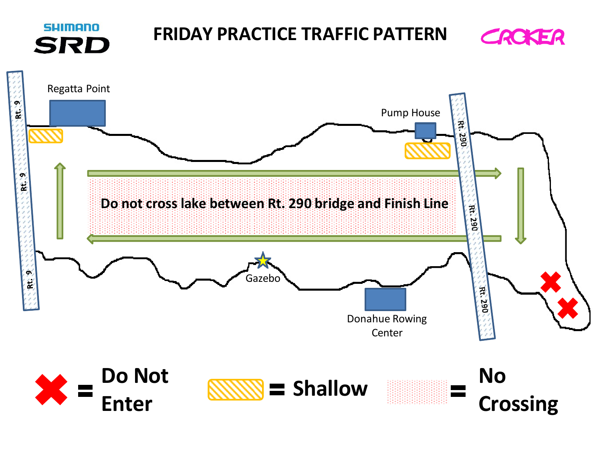## **SHIMANO FRIDAY PRACTICE TRAFFIC PATTERNSRD**



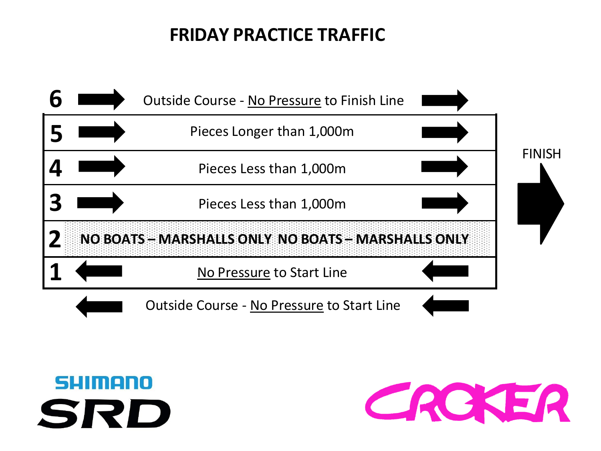## **FRIDAY PRACTICE TRAFFIC**





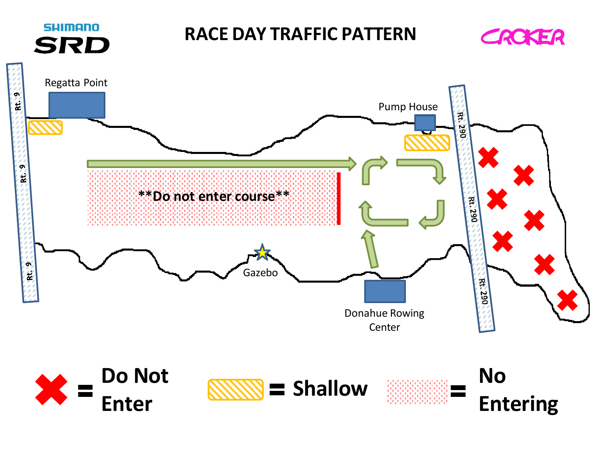## **SHIMANO SRD**

## **RACE DAY TRAFFIC PATTERN**









**Entering**